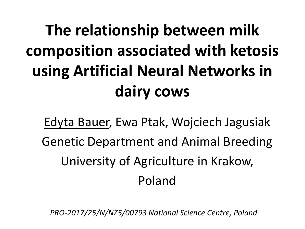# **The relationship between milk composition associated with ketosis using Artificial Neural Networks in dairy cows**

Edyta Bauer, Ewa Ptak, Wojciech Jagusiak Genetic Department and Animal Breeding University of Agriculture in Krakow, Poland

*PRO-2017/25/N/NZ5/00793 National Science Centre, Poland*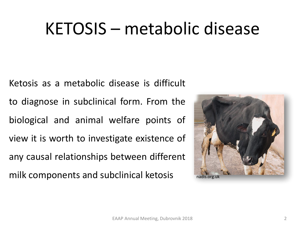### KETOSIS – metabolic disease

Ketosis as a metabolic disease is difficult to diagnose in subclinical form. From the biological and animal welfare points of view it is worth to investigate existence of any causal relationships between different milk components and subclinical ketosis

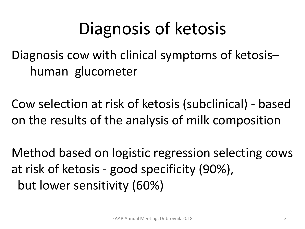## Diagnosis of ketosis

Diagnosis cow with clinical symptoms of ketosis– human glucometer

Cow selection at risk of ketosis (subclinical) - based on the results of the analysis of milk composition

Method based on logistic regression selecting cows at risk of ketosis - good specificity (90%), but lower sensitivity (60%)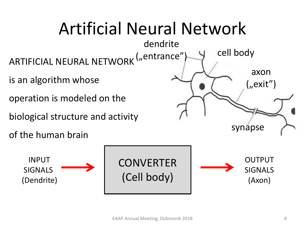

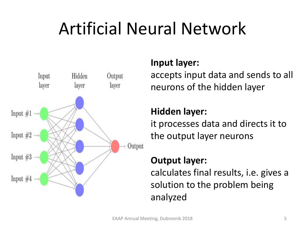# Artificial Neural Network



### **Input layer:**

accepts input data and sends to all neurons of the hidden layer

### **Hidden layer:**

it processes data and directs it to the output layer neurons

### **Output layer:**

calculates final results, i.e. gives a solution to the problem being analyzed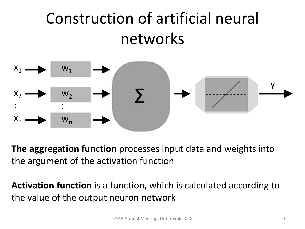### Construction of artificial neural networks



**The aggregation function** processes input data and weights into the argument of the activation function

**Activation function** is a function, which is calculated according to the value of the output neuron network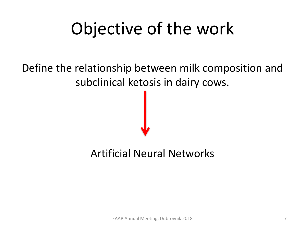# Objective of the work

### Define the relationship between milk composition and subclinical ketosis in dairy cows.

### Artificial Neural Networks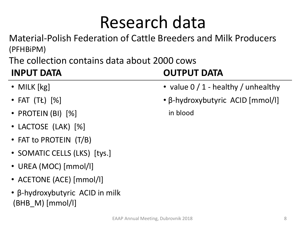### Research data

Material-Polish Federation of Cattle Breeders and Milk Producers (PFHBiPM)

The collection contains data about 2000 cows

- 
- 
- PROTEIN (BI) [%] in blood
- LACTOSE (LAK) [%]
- FAT to PROTEIN (T/B)
- SOMATIC CELLS (LKS) [tys.]
- UREA (MOC) [mmol/l]
- ACETONE (ACE) [mmol/l]
- β-hydroxybutyric ACID in milk  $(BHB \ M)$  [mmol/l]

### **INPUT DATA OUTPUT DATA**

- MILK [kg] value 0 / 1 healthy / unhealthy
- FAT (TŁ) [%] β-hydroxybutyric ACID [mmol/l]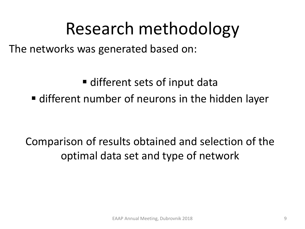### Research methodology

The networks was generated based on:

■ different sets of input data

■ different number of neurons in the hidden layer

Comparison of results obtained and selection of the optimal data set and type of network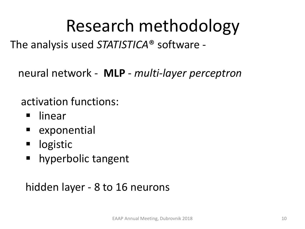# Research methodology

The analysis used *STATISTICA*® software -

neural network - **MLP** - *multi-layer perceptron*

activation functions:

- linear
- exponential
- logistic
- hyperbolic tangent

### hidden layer - 8 to 16 neurons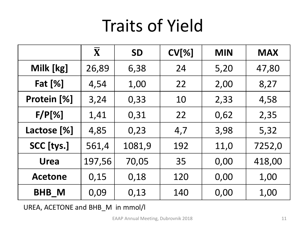## Traits of Yield

|                | $\overline{\mathbf{X}}$ | <b>SD</b> | CV[%] | <b>MIN</b> | <b>MAX</b> |
|----------------|-------------------------|-----------|-------|------------|------------|
| Milk [kg]      | 26,89                   | 6,38      | 24    | 5,20       | 47,80      |
| <b>Fat [%]</b> | 4,54                    | 1,00      | 22    | 2,00       | 8,27       |
| Protein [%]    | 3,24                    | 0,33      | 10    | 2,33       | 4,58       |
| $F/P[\%]$      | 1,41                    | 0,31      | 22    | 0,62       | 2,35       |
| Lactose [%]    | 4,85                    | 0,23      | 4,7   | 3,98       | 5,32       |
| SCC [tys.]     | 561,4                   | 1081,9    | 192   | 11,0       | 7252,0     |
| <b>Urea</b>    | 197,56                  | 70,05     | 35    | 0,00       | 418,00     |
| <b>Acetone</b> | 0,15                    | 0,18      | 120   | 0,00       | 1,00       |
| <b>BHB_M</b>   | 0,09                    | 0,13      | 140   | 0,00       | 1,00       |

UREA, ACETONE and BHB\_M in mmol/l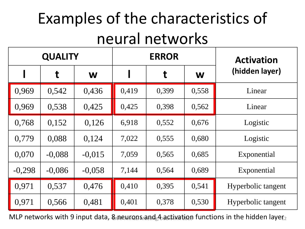### Examples of the characteristics of neural networks

| <b>QUALITY</b> |          |          | <b>ERROR</b> |       |       | <b>Activation</b>  |  |
|----------------|----------|----------|--------------|-------|-------|--------------------|--|
|                | t        | W        |              | t     | W     | (hidden layer)     |  |
| 0,969          | 0,542    | 0,436    | 0,419        | 0,399 | 0,558 | Linear             |  |
| 0,969          | 0,538    | 0,425    | 0,425        | 0,398 | 0,562 | Linear             |  |
| 0,768          | 0,152    | 0,126    | 6,918        | 0,552 | 0,676 | Logistic           |  |
| 0,779          | 0,088    | 0,124    | 7,022        | 0,555 | 0,680 | Logistic           |  |
| 0,070          | $-0,088$ | $-0,015$ | 7,059        | 0,565 | 0,685 | Exponential        |  |
| $-0,298$       | $-0,086$ | $-0,058$ | 7,144        | 0,564 | 0,689 | Exponential        |  |
| 0,971          | 0,537    | 0,476    | 0,410        | 0,395 | 0,541 | Hyperbolic tangent |  |
| 0,971          | 0,566    | 0,481    | 0,401        | 0,378 | 0,530 | Hyperbolic tangent |  |

 $MLP$  networks with 9 input data,  $8$  a  $EMFQB$   $\frac{1}{2}$  activation functions in the hidden layer  $_2$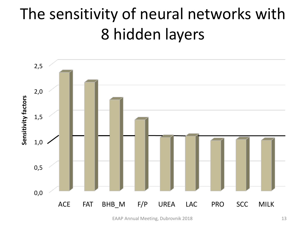### The sensitivity of neural networks with 8 hidden layers



EAAP Annual Meeting, Dubrovnik 2018 13 and 13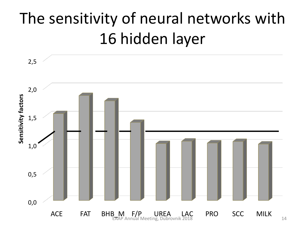### The sensitivity of neural networks with 16 hidden layer

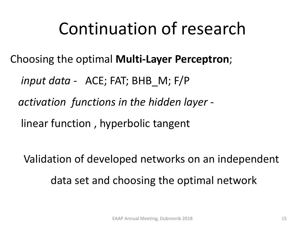## Continuation of research

Choosing the optimal **Multi-Layer Perceptron**;

*input data -* ACE; FAT; BHB\_M; F/P

*activation functions in the hidden layer -*

linear function , hyperbolic tangent

Validation of developed networks on an independent data set and choosing the optimal network